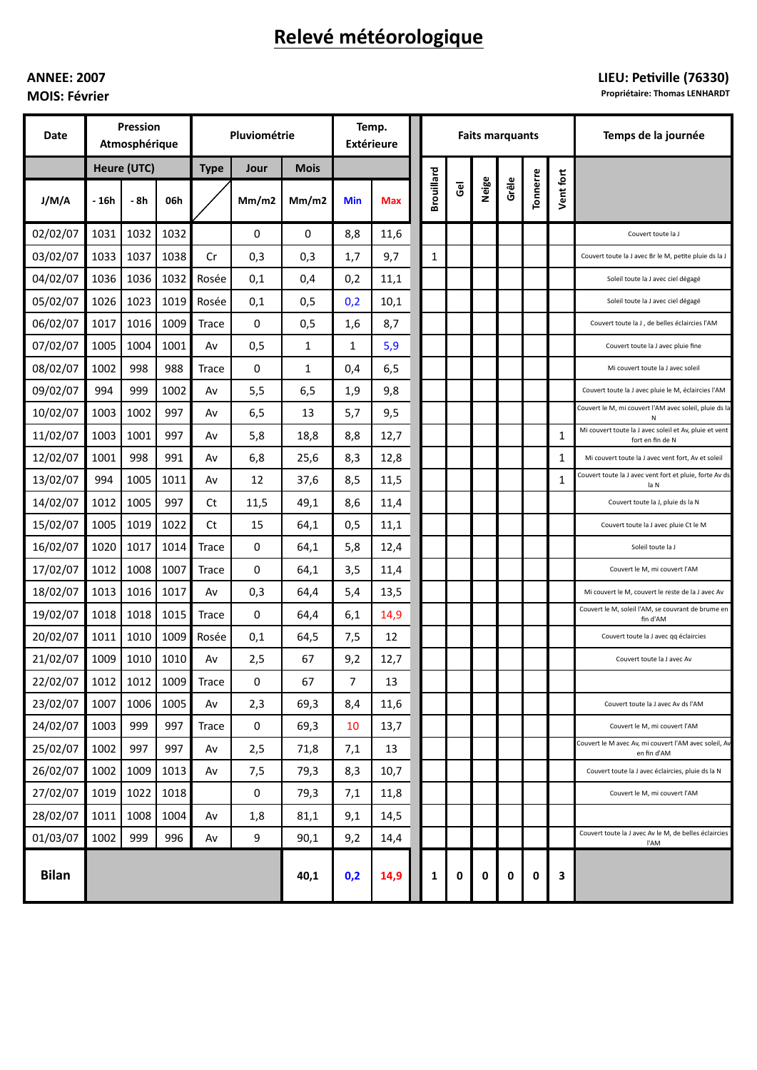# Relevé météorologique

## **ANNEE: 2007 MOIS: Février**

## LIEU: Petiville (76330)

Propriétaire: Thomas LENHARDT

| <b>Date</b>  | <b>Pression</b><br>Atmosphérique |      |      | Pluviométrie |             |             | Temp.<br><b>Extérieure</b> |            | <b>Faits marquants</b> |                |       |       |          |           | Temps de la journée                                                        |
|--------------|----------------------------------|------|------|--------------|-------------|-------------|----------------------------|------------|------------------------|----------------|-------|-------|----------|-----------|----------------------------------------------------------------------------|
|              | Heure (UTC)                      |      |      | <b>Type</b>  | Jour        | <b>Mois</b> |                            |            |                        |                |       |       |          |           |                                                                            |
| J/M/A        | - 16h                            | - 8h | 06h  |              | Mm/m2       | Mm/m2       | <b>Min</b>                 | <b>Max</b> | <b>Brouillard</b>      | $\overline{6}$ | Neige | Grêle | Tonnerre | Vent fort |                                                                            |
| 02/02/07     | 1031                             | 1032 | 1032 |              | 0           | 0           | 8,8                        | 11,6       |                        |                |       |       |          |           | Couvert toute la J                                                         |
| 03/02/07     | 1033                             | 1037 | 1038 | Cr           | 0,3         | 0,3         | 1,7                        | 9,7        | 1                      |                |       |       |          |           | Couvert toute la J avec Br le M, petite pluie ds la J                      |
| 04/02/07     | 1036                             | 1036 | 1032 | Rosée        | 0,1         | 0,4         | 0,2                        | 11,1       |                        |                |       |       |          |           | Soleil toute la J avec ciel dégagé                                         |
| 05/02/07     | 1026                             | 1023 | 1019 | Rosée        | 0,1         | 0,5         | 0,2                        | 10,1       |                        |                |       |       |          |           | Soleil toute la J avec ciel dégagé                                         |
| 06/02/07     | 1017                             | 1016 | 1009 | Trace        | 0           | 0,5         | 1,6                        | 8,7        |                        |                |       |       |          |           | Couvert toute la J, de belles éclaircies l'AM                              |
| 07/02/07     | 1005                             | 1004 | 1001 | Av           | 0,5         | 1           | 1                          | 5,9        |                        |                |       |       |          |           | Couvert toute la J avec pluie fine                                         |
| 08/02/07     | 1002                             | 998  | 988  | Trace        | 0           | 1           | 0,4                        | 6,5        |                        |                |       |       |          |           | Mi couvert toute la J avec soleil                                          |
| 09/02/07     | 994                              | 999  | 1002 | Av           | 5,5         | 6,5         | 1,9                        | 9,8        |                        |                |       |       |          |           | Couvert toute la J avec pluie le M, éclaircies l'AM                        |
| 10/02/07     | 1003                             | 1002 | 997  | Av           | 6,5         | 13          | 5,7                        | 9,5        |                        |                |       |       |          |           | Couvert le M, mi couvert l'AM avec soleil, pluie ds la<br>Ν                |
| 11/02/07     | 1003                             | 1001 | 997  | Av           | 5,8         | 18,8        | 8,8                        | 12,7       |                        |                |       |       |          | 1         | Mi couvert toute la J avec soleil et Av, pluie et vent<br>fort en fin de N |
| 12/02/07     | 1001                             | 998  | 991  | Av           | 6,8         | 25,6        | 8,3                        | 12,8       |                        |                |       |       |          | 1         | Mi couvert toute la J avec vent fort, Av et soleil                         |
| 13/02/07     | 994                              | 1005 | 1011 | Av           | 12          | 37,6        | 8,5                        | 11,5       |                        |                |       |       |          | 1         | Couvert toute la J avec vent fort et pluie, forte Av ds<br>la N            |
| 14/02/07     | 1012                             | 1005 | 997  | Ct           | 11,5        | 49,1        | 8,6                        | 11,4       |                        |                |       |       |          |           | Couvert toute la J, pluie ds la N                                          |
| 15/02/07     | 1005                             | 1019 | 1022 | Ct           | 15          | 64,1        | 0,5                        | 11,1       |                        |                |       |       |          |           | Couvert toute la J avec pluie Ct le M                                      |
| 16/02/07     | 1020                             | 1017 | 1014 | <b>Trace</b> | 0           | 64,1        | 5,8                        | 12,4       |                        |                |       |       |          |           | Soleil toute la J                                                          |
| 17/02/07     | 1012                             | 1008 | 1007 | <b>Trace</b> | 0           | 64,1        | 3,5                        | 11,4       |                        |                |       |       |          |           | Couvert le M, mi couvert l'AM                                              |
| 18/02/07     | 1013                             | 1016 | 1017 | Av           | 0,3         | 64,4        | 5,4                        | 13,5       |                        |                |       |       |          |           | Mi couvert le M, couvert le reste de la J avec Av                          |
| 19/02/07     | 1018                             | 1018 | 1015 | Trace        | 0           | 64,4        | 6,1                        | 14,9       |                        |                |       |       |          |           | Couvert le M, soleil l'AM, se couvrant de brume en<br>fin d'AM             |
| 20/02/07     | 1011                             | 1010 | 1009 | Rosée        | 0,1         | 64,5        | 7,5                        | 12         |                        |                |       |       |          |           | Couvert toute la J avec qq éclaircies                                      |
| 21/02/07     | 1009                             | 1010 | 1010 | Av           | 2,5         | 67          | 9,2                        | 12,7       |                        |                |       |       |          |           | Couvert toute la J avec Av                                                 |
| 22/02/07     | 1012                             | 1012 | 1009 | Trace        | 0           | 67          | 7                          | 13         |                        |                |       |       |          |           |                                                                            |
| 23/02/07     | 1007                             | 1006 | 1005 | Av           | 2,3         | 69,3        | 8,4                        | 11,6       |                        |                |       |       |          |           | Couvert toute la J avec Av ds l'AM                                         |
| 24/02/07     | 1003                             | 999  | 997  | Trace        | $\mathbf 0$ | 69,3        | 10                         | 13,7       |                        |                |       |       |          |           | Couvert le M, mi couvert l'AM                                              |
| 25/02/07     | 1002                             | 997  | 997  | Av           | 2,5         | 71,8        | 7,1                        | 13         |                        |                |       |       |          |           | Couvert le M avec Av, mi couvert l'AM avec soleil, Av<br>en fin d'AM       |
| 26/02/07     | 1002                             | 1009 | 1013 | Av           | 7,5         | 79,3        | 8,3                        | 10,7       |                        |                |       |       |          |           | Couvert toute la J avec éclaircies, pluie ds la N                          |
| 27/02/07     | 1019                             | 1022 | 1018 |              | 0           | 79,3        | 7,1                        | 11,8       |                        |                |       |       |          |           | Couvert le M, mi couvert l'AM                                              |
| 28/02/07     | 1011                             | 1008 | 1004 | Av           | 1,8         | 81,1        | 9,1                        | 14,5       |                        |                |       |       |          |           |                                                                            |
| 01/03/07     | 1002                             | 999  | 996  | Av           | 9           | 90,1        | 9,2                        | 14,4       |                        |                |       |       |          |           | Couvert toute la J avec Av le M, de belles éclaircies<br>l'AM              |
| <b>Bilan</b> |                                  |      |      |              |             | 40,1        | 0,2                        | 14,9       | 1                      | 0              | 0     | 0     | 0        | 3         |                                                                            |